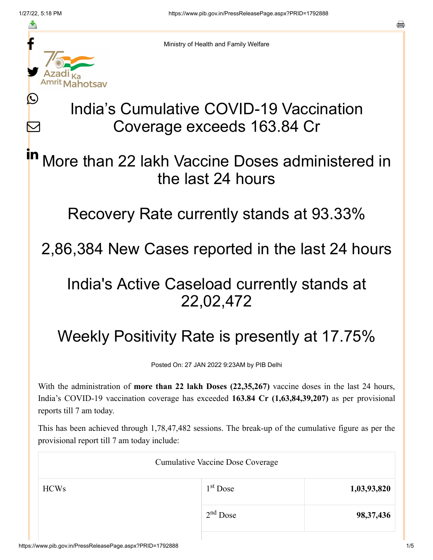≛

Ŀ

 $\bm{\nabla}$ 



Ministry of Health and Family Welfare

# India's Cumulative COVID-19 Vaccination Coverage exceeds 163.84 Cr

### More than 22 lakh Vaccine Doses administered in the last 24 hours in

Recovery Rate currently stands at 93.33%

2,86,384 New Cases reported in the last 24 hours

## India's Active Caseload currently stands at 22,02,472

# Weekly Positivity Rate is presently at 17.75%

Posted On: 27 JAN 2022 9:23AM by PIB Delhi

With the administration of **more than 22 lakh Doses (22,35,267)** vaccine doses in the last 24 hours, India's COVID-19 vaccination coverage has exceeded **163.84 Cr (1,63,84,39,207)** as per provisional reports till 7 am today.

This has been achieved through 1,78,47,482 sessions. The break-up of the cumulative figure as per the provisional report till 7 am today include:

| <b>Cumulative Vaccine Dose Coverage</b> |             |  |  |
|-----------------------------------------|-------------|--|--|
| $1st$ Dose                              | 1,03,93,820 |  |  |
| $2nd$ Dose                              | 98, 37, 436 |  |  |
|                                         |             |  |  |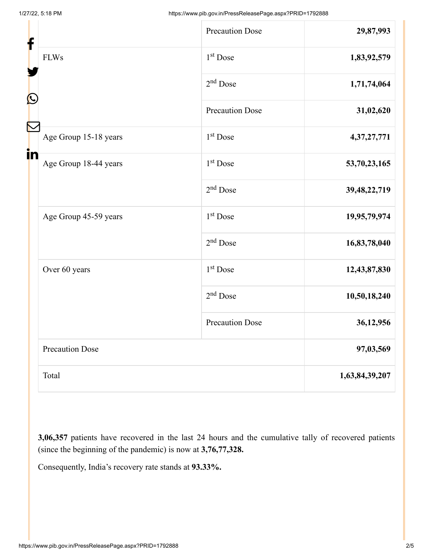| f<br>C |                        | <b>Precaution Dose</b> | 29,87,993      |
|--------|------------------------|------------------------|----------------|
|        | <b>FLWs</b>            | $1st$ Dose             | 1,83,92,579    |
|        |                        | $2nd$ Dose             | 1,71,74,064    |
|        |                        | <b>Precaution Dose</b> | 31,02,620      |
|        | Age Group 15-18 years  | $1st$ Dose             | 4,37,27,771    |
| in     | Age Group 18-44 years  | 1 <sup>st</sup> Dose   | 53,70,23,165   |
|        |                        | $2nd$ Dose             | 39,48,22,719   |
|        | Age Group 45-59 years  | $1st$ Dose             | 19,95,79,974   |
|        |                        | $2nd$ Dose             | 16,83,78,040   |
|        | Over 60 years          | $1st$ Dose             | 12,43,87,830   |
|        |                        | $2nd$ Dose             | 10,50,18,240   |
|        |                        | <b>Precaution Dose</b> | 36,12,956      |
|        | <b>Precaution Dose</b> |                        | 97,03,569      |
|        | Total                  |                        | 1,63,84,39,207 |

**3,06,357** patients have recovered in the last 24 hours and the cumulative tally of recovered patients (since the beginning of the pandemic) is now at **3,76,77,328.**

Consequently, India's recovery rate stands at **93.33%.**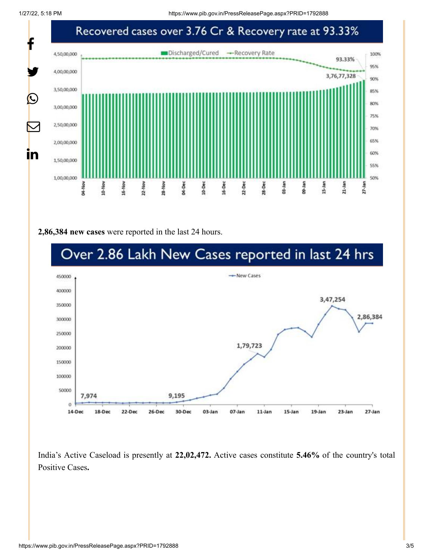1/27/22, 5:18 PM https://www.pib.gov.in/PressReleasePage.aspx?PRID=1792888



#### **2,86,384 new cases** were reported in the last 24 hours.



India's Active Caseload is presently at **22,02,472.** Active cases constitute **5.46%** of the country's total Positive Cases**.**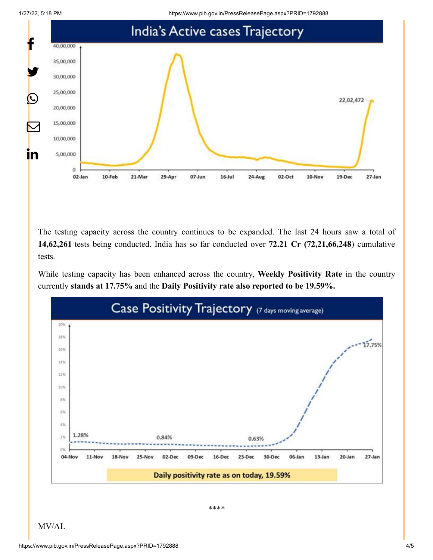1/27/22, 5:18 PM https://www.pib.gov.in/PressReleasePage.aspx?PRID=1792888



The testing capacity across the country continues to be expanded. The last 24 hours saw a total of **14,62,261** tests being conducted. India has so far conducted over **72.21 Cr (72,21,66,248**) cumulative tests.

While testing capacity has been enhanced across the country, **Weekly Positivity Rate** in the country currently **stands at 17.75%** and the **Daily Positivity rate also reported to be 19.59%.**



\*\*\*\*

MV/AL